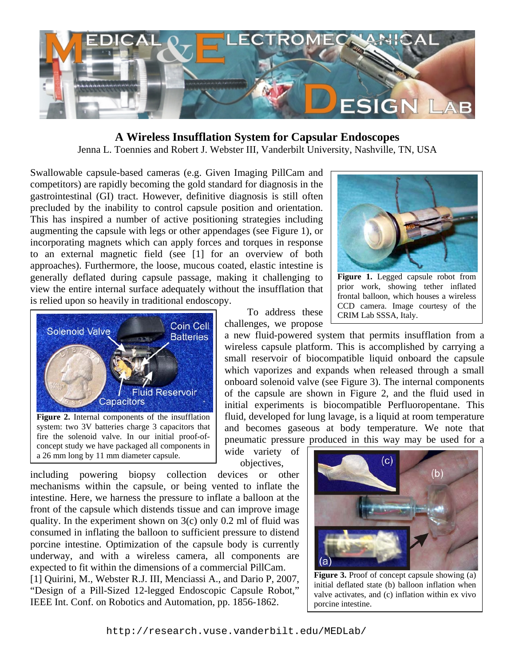

#### **A Wireless Insufflation System for Capsular Endoscopes**

Jenna L. Toennies and Robert J. Webster III, Vanderbilt University, Nashville, TN, USA

Swallowable capsule-based cameras (e.g. Given Imaging PillCam and competitors) are rapidly becoming the gold standard for diagnosis in the gastrointestinal (GI) tract. However, definitive diagnosis is still often precluded by the inability to control capsule position and orientation. This has inspired a number of active positioning strategies including augmenting the capsule with legs or other appendages (see Figure 1), or incorporating magnets which can apply forces and torques in response to an external magnetic field (see [1] for an overview of both approaches). Furthermore, the loose, mucous coated, elastic intestine is generally deflated during capsule passage, making it challenging to view the entire internal surface adequately without the insufflation that is relied upon so heavily in traditional endoscopy.



**Figure 2.** Internal components of the insufflation system: two 3V batteries charge 3 capacitors that fire the solenoid valve. In our initial proof-ofconcept study we have packaged all components in a 26 mm long by 11 mm diameter capsule.

 To address these challenges, we propose

a new fluid-powered system that permits insufflation from a wireless capsule platform. This is accomplished by carrying a small reservoir of biocompatible liquid onboard the capsule which vaporizes and expands when released through a small onboard solenoid valve (see Figure 3). The internal components of the capsule are shown in Figure 2, and the fluid used in initial experiments is biocompatible Perfluoropentane. This fluid, developed for lung lavage, is a liquid at room temperature and becomes gaseous at body temperature. We note that pneumatic pressure produced in this way may be used for a

wide variety of objectives,

including powering biopsy collection devices or other mechanisms within the capsule, or being vented to inflate the intestine. Here, we harness the pressure to inflate a balloon at the front of the capsule which distends tissue and can improve image quality. In the experiment shown on  $3(c)$  only 0.2 ml of fluid was consumed in inflating the balloon to sufficient pressure to distend porcine intestine. Optimization of the capsule body is currently underway, and with a wireless camera, all components are expected to fit within the dimensions of a commercial PillCam. [1] Quirini, M., Webster R.J. III, Menciassi A., and Dario P, 2007, "Design of a Pill-Sized 12-legged Endoscopic Capsule Robot," IEEE Int. Conf. on Robotics and Automation, pp. 1856-1862.



**Figure 3.** Proof of concept capsule showing (a) initial deflated state (b) balloon inflation when valve activates, and (c) inflation within ex vivo porcine intestine.



**Figure 1.** Legged capsule robot from prior work, showing tether inflated frontal balloon, which houses a wireless CCD camera. Image courtesy of the CRIM Lab SSSA, Italy.